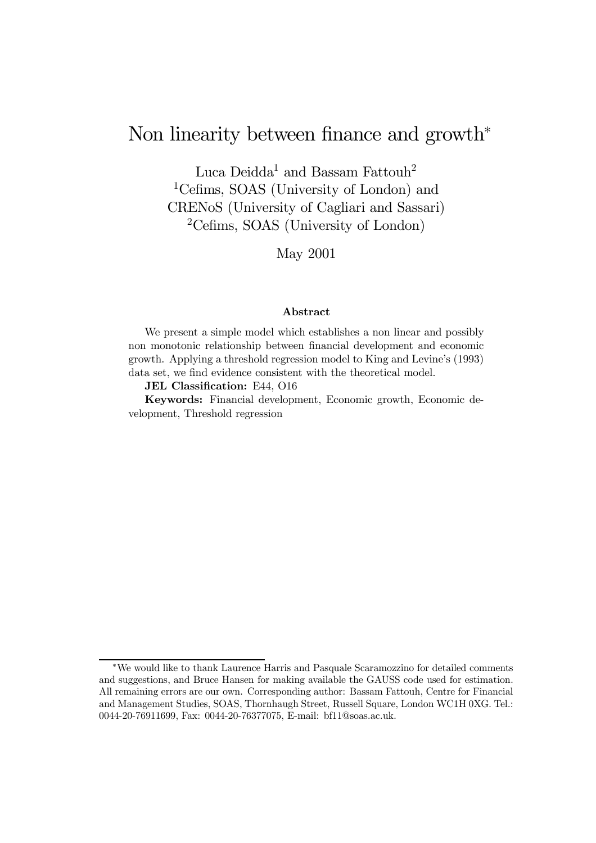# Non linearity between finance and growth<sup>∗</sup>

Luca Deidda<sup>1</sup> and Bassam Fattouh<sup>2</sup> 1Cefims, SOAS (University of London) and CRENoS (University of Cagliari and Sassari) 2Cefims, SOAS (University of London)

May 2001

#### Abstract

We present a simple model which establishes a non linear and possibly non monotonic relationship between financial development and economic growth. Applying a threshold regression model to King and Levineís (1993) data set, we find evidence consistent with the theoretical model.

#### JEL Classification: E44, O16

Keywords: Financial development, Economic growth, Economic development, Threshold regression

<sup>∗</sup>We would like to thank Laurence Harris and Pasquale Scaramozzino for detailed comments and suggestions, and Bruce Hansen for making available the GAUSS code used for estimation. All remaining errors are our own. Corresponding author: Bassam Fattouh, Centre for Financial and Management Studies, SOAS, Thornhaugh Street, Russell Square, London WC1H 0XG. Tel.: 0044-20-76911699, Fax: 0044-20-76377075, E-mail: bf11@soas.ac.uk.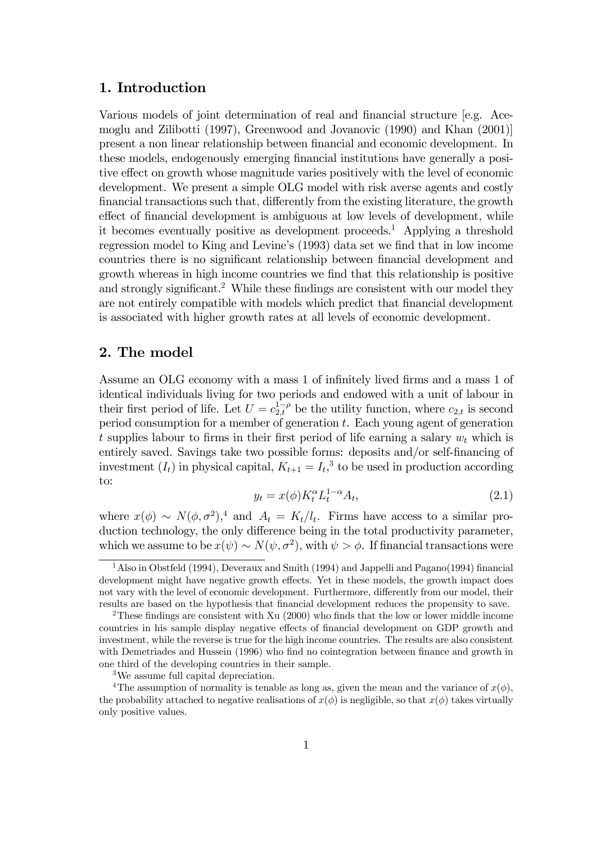## 1. Introduction

Various models of joint determination of real and financial structure [e.g. Acemoglu and Zilibotti (1997), Greenwood and Jovanovic (1990) and Khan (2001)] present a non linear relationship between financial and economic development. In these models, endogenously emerging financial institutions have generally a positive effect on growth whose magnitude varies positively with the level of economic development. We present a simple OLG model with risk averse agents and costly financial transactions such that, differently from the existing literature, the growth effect of financial development is ambiguous at low levels of development, while it becomes eventually positive as development proceeds.<sup>1</sup> Applying a threshold regression model to King and Levine's (1993) data set we find that in low income countries there is no significant relationship between financial development and growth whereas in high income countries we find that this relationship is positive and strongly significant.<sup>2</sup> While these findings are consistent with our model they are not entirely compatible with models which predict that financial development is associated with higher growth rates at all levels of economic development.

# 2. The model

Assume an OLG economy with a mass 1 of infinitely lived firms and a mass 1 of identical individuals living for two periods and endowed with a unit of labour in their first period of life. Let  $U = c_{2,t}^{1-\rho}$  be the utility function, where  $c_{2,t}$  is second period consumption for a member of generation  $t$ . Each young agent of generation t supplies labour to firms in their first period of life earning a salary  $w_t$  which is entirely saved. Savings take two possible forms: deposits and/or self-financing of investment  $(I_t)$  in physical capital,  $K_{t+1} = I_t$ ,<sup>3</sup> to be used in production according to:

$$
y_t = x(\phi) K_t^{\alpha} L_t^{1-\alpha} A_t,\tag{2.1}
$$

where  $x(\phi) \sim N(\phi, \sigma^2)^4$  and  $A_t = K_t/l_t$ . Firms have access to a similar production technology, the only difference being in the total productivity parameter, which we assume to be  $x(\psi) \sim N(\psi, \sigma^2)$ , with  $\psi > \phi$ . If financial transactions were

<sup>&</sup>lt;sup>1</sup> Also in Obstfeld (1994), Deveraux and Smith (1994) and Jappelli and Pagano(1994) financial development might have negative growth effects. Yet in these models, the growth impact does not vary with the level of economic development. Furthermore, differently from our model, their results are based on the hypothesis that financial development reduces the propensity to save.

<sup>&</sup>lt;sup>2</sup>These findings are consistent with Xu  $(2000)$  who finds that the low or lower middle income countries in his sample display negative effects of financial development on GDP growth and investment, while the reverse is true for the high income countries. The results are also consistent with Demetriades and Hussein (1996) who find no cointegration between finance and growth in one third of the developing countries in their sample.

<sup>3</sup>We assume full capital depreciation.

<sup>&</sup>lt;sup>4</sup>The assumption of normality is tenable as long as, given the mean and the variance of  $x(\phi)$ , the probability attached to negative realisations of  $x(\phi)$  is negligible, so that  $x(\phi)$  takes virtually only positive values.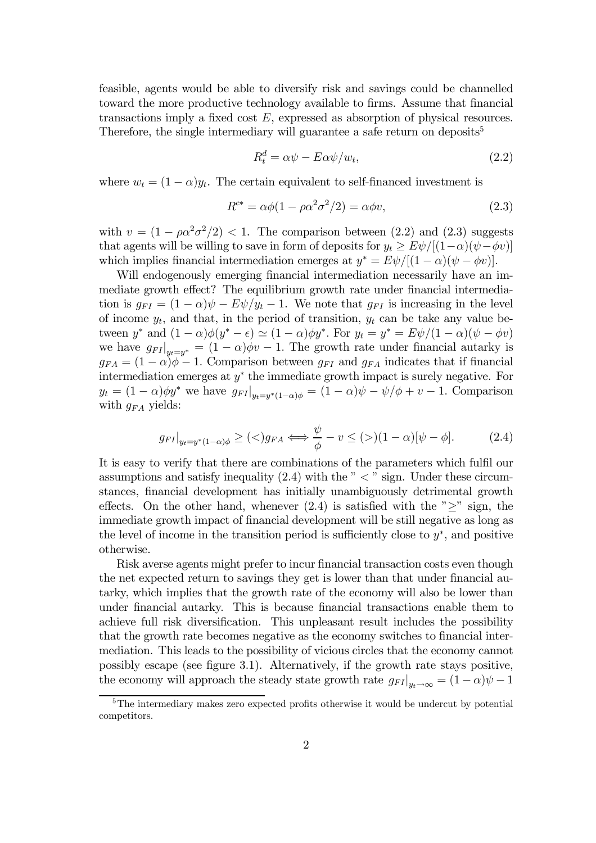feasible, agents would be able to diversify risk and savings could be channelled toward the more productive technology available to firms. Assume that financial transactions imply a fixed cost E, expressed as absorption of physical resources. Therefore, the single intermediary will guarantee a safe return on deposits<sup>5</sup>

$$
R_t^d = \alpha \psi - E \alpha \psi / w_t, \qquad (2.2)
$$

where  $w_t = (1 - \alpha)y_t$ . The certain equivalent to self-financed investment is

$$
R^{c*} = \alpha \phi (1 - \rho \alpha^2 \sigma^2 / 2) = \alpha \phi v, \qquad (2.3)
$$

with  $v = (1 - \rho \alpha^2 \sigma^2 / 2) < 1$ . The comparison between (2.2) and (2.3) suggests that agents will be willing to save in form of deposits for  $y_t \geq E\psi/[(1-\alpha)(\psi - \phi v)]$ which implies financial intermediation emerges at  $y^* = E\psi/[(1-\alpha)(\psi - \phi v)].$ 

Will endogenously emerging financial intermediation necessarily have an immediate growth effect? The equilibrium growth rate under financial intermediation is  $g_{FI} = (1 - \alpha)\psi - E\psi/y_t - 1$ . We note that  $g_{FI}$  is increasing in the level of income  $y_t$ , and that, in the period of transition,  $y_t$  can be take any value between y<sup>\*</sup> and  $(1 - \alpha)\phi(y^* - \epsilon) \simeq (1 - \alpha)\phi(y^*)$ . For  $y_t = y^* = E\psi/(1 - \alpha)(\psi - \phi v)$ we have  $g_{FI}|_{y_t=y^*} = (1-\alpha)\phi v - 1$ . The growth rate under financial autarky is  $g_{FA} = (1 - \alpha)\phi - 1$ . Comparison between  $g_{FI}$  and  $g_{FA}$  indicates that if financial intermediation emerges at  $y^*$  the immediate growth impact is surely negative. For  $y_t = (1 - \alpha)\phi y^*$  we have  $g_{FI}|_{y_t = y^*(1 - \alpha)\phi} = (1 - \alpha)\psi - \psi/\phi + v - 1$ . Comparison with  $g_{FA}$  yields:

$$
g_{FI}|_{y_t = y^*(1-\alpha)\phi} \ge (\langle) g_{FA} \Longleftrightarrow \frac{\psi}{\phi} - v \le (\rangle)(1-\alpha)[\psi - \phi]. \tag{2.4}
$$

It is easy to verify that there are combinations of the parameters which fulfil our assumptions and satisfy inequality  $(2.4)$  with the  $\degree$  <  $\degree$  sign. Under these circumstances, financial development has initially unambiguously detrimental growth effects. On the other hand, whenever  $(2.4)$  is satisfied with the  $\geq$  sign, the immediate growth impact of financial development will be still negative as long as the level of income in the transition period is sufficiently close to  $y^*$ , and positive otherwise.

Risk averse agents might prefer to incur financial transaction costs even though the net expected return to savings they get is lower than that under financial autarky, which implies that the growth rate of the economy will also be lower than under financial autarky. This is because financial transactions enable them to achieve full risk diversification. This unpleasant result includes the possibility that the growth rate becomes negative as the economy switches to financial intermediation. This leads to the possibility of vicious circles that the economy cannot possibly escape (see figure 3.1). Alternatively, if the growth rate stays positive, the economy will approach the steady state growth rate  $g_{FI}|_{y_t\to\infty} = (1-\alpha)\psi - 1$ 

<sup>&</sup>lt;sup>5</sup>The intermediary makes zero expected profits otherwise it would be undercut by potential competitors.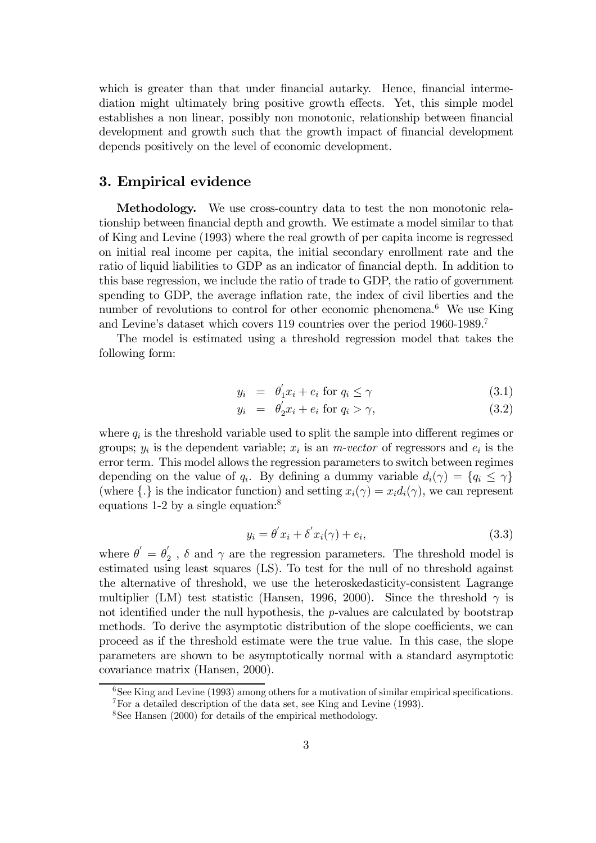which is greater than that under financial autarky. Hence, financial intermediation might ultimately bring positive growth effects. Yet, this simple model establishes a non linear, possibly non monotonic, relationship between financial development and growth such that the growth impact of financial development depends positively on the level of economic development.

### 3. Empirical evidence

Methodology. We use cross-country data to test the non monotonic relationship between financial depth and growth. We estimate a model similar to that of King and Levine (1993) where the real growth of per capita income is regressed on initial real income per capita, the initial secondary enrollment rate and the ratio of liquid liabilities to GDP as an indicator of financial depth. In addition to this base regression, we include the ratio of trade to GDP, the ratio of government spending to GDP, the average inflation rate, the index of civil liberties and the number of revolutions to control for other economic phenomena.<sup>6</sup> We use King and Levine's dataset which covers 119 countries over the period 1960-1989.<sup>7</sup>

The model is estimated using a threshold regression model that takes the following form:

$$
y_i = \theta'_1 x_i + e_i \text{ for } q_i \le \gamma \tag{3.1}
$$

$$
y_i = \theta_2' x_i + e_i \text{ for } q_i > \gamma,
$$
\n(3.2)

where  $q_i$  is the threshold variable used to split the sample into different regimes or groups;  $y_i$  is the dependent variable;  $x_i$  is an *m-vector* of regressors and  $e_i$  is the error term. This model allows the regression parameters to switch between regimes depending on the value of  $q_i$ . By defining a dummy variable  $d_i(\gamma) = \{q_i \leq \gamma\}$ (where  $\{.\}$  is the indicator function) and setting  $x_i(\gamma) = x_i d_i(\gamma)$ , we can represent equations 1-2 by a single equation:<sup>8</sup>

$$
y_i = \theta' x_i + \delta' x_i(\gamma) + e_i,\tag{3.3}
$$

where  $\theta' = \theta'_2$ ,  $\delta$  and  $\gamma$  are the regression parameters. The threshold model is estimated using least squares (LS). To test for the null of no threshold against the alternative of threshold, we use the heteroskedasticity-consistent Lagrange multiplier (LM) test statistic (Hansen, 1996, 2000). Since the threshold  $\gamma$  is not identified under the null hypothesis, the  $p$ -values are calculated by bootstrap methods. To derive the asymptotic distribution of the slope coefficients, we can proceed as if the threshold estimate were the true value. In this case, the slope parameters are shown to be asymptotically normal with a standard asymptotic covariance matrix (Hansen, 2000).

 $6$ See King and Levine (1993) among others for a motivation of similar empirical specifications.

<sup>7</sup>For a detailed description of the data set, see King and Levine (1993).

 $8$ See Hansen (2000) for details of the empirical methodology.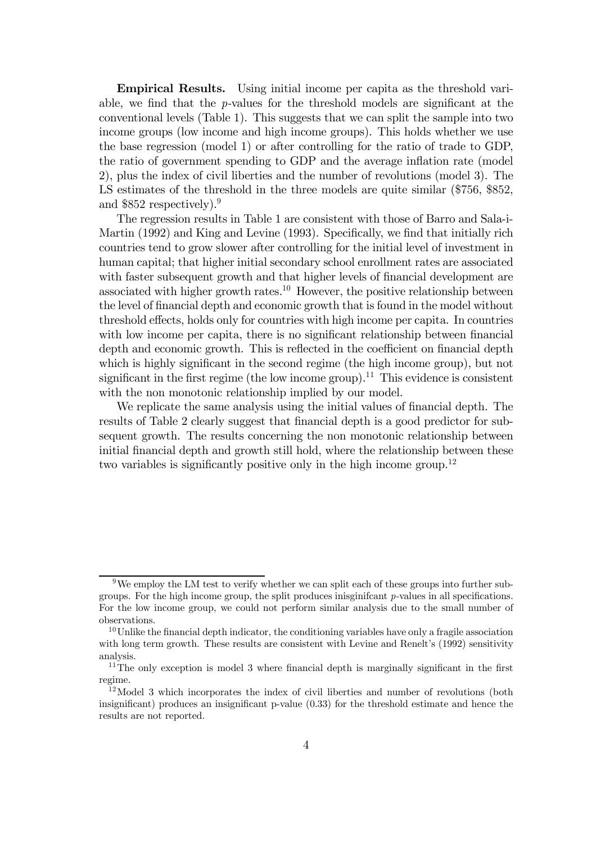Empirical Results. Using initial income per capita as the threshold variable, we find that the p-values for the threshold models are significant at the conventional levels (Table 1). This suggests that we can split the sample into two income groups (low income and high income groups). This holds whether we use the base regression (model 1) or after controlling for the ratio of trade to GDP, the ratio of government spending to GDP and the average inflation rate (model 2), plus the index of civil liberties and the number of revolutions (model 3). The LS estimates of the threshold in the three models are quite similar (\$756, \$852, and \$852 respectively).<sup>9</sup>

The regression results in Table 1 are consistent with those of Barro and Sala-i-Martin (1992) and King and Levine (1993). Specifically, we find that initially rich countries tend to grow slower after controlling for the initial level of investment in human capital; that higher initial secondary school enrollment rates are associated with faster subsequent growth and that higher levels of financial development are associated with higher growth rates.<sup>10</sup> However, the positive relationship between the level of financial depth and economic growth that is found in the model without threshold effects, holds only for countries with high income per capita. In countries with low income per capita, there is no significant relationship between financial depth and economic growth. This is reflected in the coefficient on financial depth which is highly significant in the second regime (the high income group), but not significant in the first regime (the low income group).<sup>11</sup> This evidence is consistent with the non monotonic relationship implied by our model.

We replicate the same analysis using the initial values of financial depth. The results of Table 2 clearly suggest that financial depth is a good predictor for subsequent growth. The results concerning the non monotonic relationship between initial financial depth and growth still hold, where the relationship between these two variables is significantly positive only in the high income group.<sup>12</sup>

<sup>9</sup>We employ the LM test to verify whether we can split each of these groups into further subgroups. For the high income group, the split produces inisginifcant p-values in all specifications. For the low income group, we could not perform similar analysis due to the small number of observations.

 $10$ Unlike the financial depth indicator, the conditioning variables have only a fragile association with long term growth. These results are consistent with Levine and Renelt's  $(1992)$  sensitivity analysis.

 $11$ The only exception is model 3 where financial depth is marginally significant in the first regime.

 $12$ Model 3 which incorporates the index of civil liberties and number of revolutions (both insignificant) produces an insignificant p-value (0.33) for the threshold estimate and hence the results are not reported.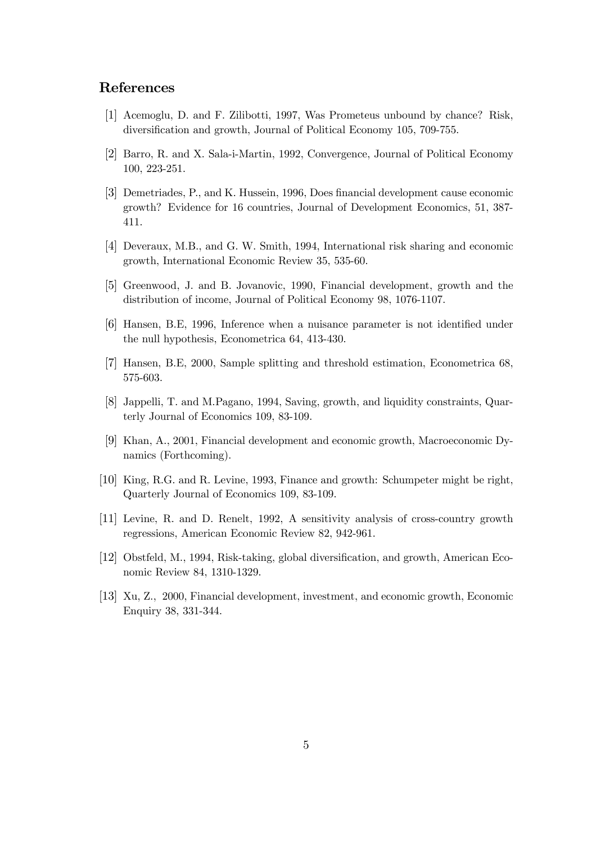# References

- [1] Acemoglu, D. and F. Zilibotti, 1997, Was Prometeus unbound by chance? Risk, diversification and growth, Journal of Political Economy 105, 709-755.
- [2] Barro, R. and X. Sala-i-Martin, 1992, Convergence, Journal of Political Economy 100, 223-251.
- [3] Demetriades, P., and K. Hussein, 1996, Does financial development cause economic growth? Evidence for 16 countries, Journal of Development Economics, 51, 387- 411.
- [4] Deveraux, M.B., and G. W. Smith, 1994, International risk sharing and economic growth, International Economic Review 35, 535-60.
- [5] Greenwood, J. and B. Jovanovic, 1990, Financial development, growth and the distribution of income, Journal of Political Economy 98, 1076-1107.
- [6] Hansen, B.E, 1996, Inference when a nuisance parameter is not identified under the null hypothesis, Econometrica 64, 413-430.
- [7] Hansen, B.E, 2000, Sample splitting and threshold estimation, Econometrica 68, 575-603.
- [8] Jappelli, T. and M.Pagano, 1994, Saving, growth, and liquidity constraints, Quarterly Journal of Economics 109, 83-109.
- [9] Khan, A., 2001, Financial development and economic growth, Macroeconomic Dynamics (Forthcoming).
- [10] King, R.G. and R. Levine, 1993, Finance and growth: Schumpeter might be right, Quarterly Journal of Economics 109, 83-109.
- [11] Levine, R. and D. Renelt, 1992, A sensitivity analysis of cross-country growth regressions, American Economic Review 82, 942-961.
- [12] Obstfeld, M., 1994, Risk-taking, global diversification, and growth, American Economic Review 84, 1310-1329.
- [13] Xu, Z., 2000, Financial development, investment, and economic growth, Economic Enquiry 38, 331-344.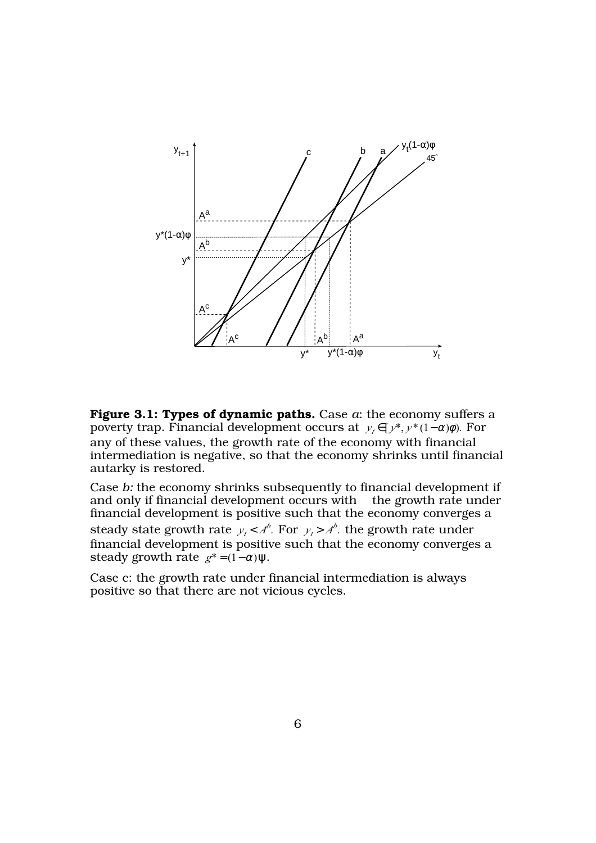

**Figure 3.1: Types of dynamic paths.** Case *a*: the economy suffers a poverty trap. Financial development occurs at  $y_t \in [y^*, y^*(1-\alpha)\phi)$ . For any of these values, the growth rate of the economy with financial intermediation is negative, so that the economy shrinks until financial autarky is restored.

Case *b:* the economy shrinks subsequently to financial development if and only if financial development occurs with the growth rate under financial development is positive such that the economy converges a steady state growth rate  $y_t < A^b$ . For  $y_t > A^b$ . the growth rate under financial development is positive such that the economy converges a steady growth rate  $g^* = (1 - \alpha)\psi$ .

Case c: the growth rate under financial intermediation is always positive so that there are not vicious cycles.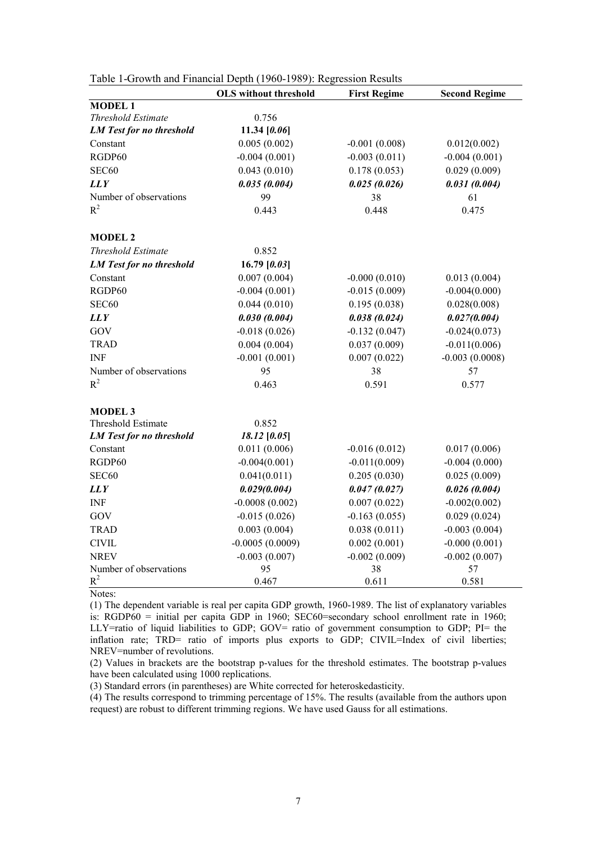|                                 | <b>OLS</b> without threshold | <b>First Regime</b> | <b>Second Regime</b> |
|---------------------------------|------------------------------|---------------------|----------------------|
| <b>MODEL1</b>                   |                              |                     |                      |
| <b>Threshold Estimate</b>       | 0.756                        |                     |                      |
| <b>LM</b> Test for no threshold | 11.34 [0.06]                 |                     |                      |
| Constant                        | 0.005(0.002)                 | $-0.001(0.008)$     | 0.012(0.002)         |
| RGDP60                          | $-0.004(0.001)$              | $-0.003(0.011)$     | $-0.004(0.001)$      |
| SEC60                           | 0.043(0.010)                 | 0.178(0.053)        | 0.029(0.009)         |
| <b>LLY</b>                      | 0.035(0.004)                 | 0.025(0.026)        | 0.031(0.004)         |
| Number of observations          | 99                           | 38                  | 61                   |
| $R^2$                           | 0.443                        | 0.448               | 0.475                |
| <b>MODEL 2</b>                  |                              |                     |                      |
| Threshold Estimate              | 0.852                        |                     |                      |
| <b>LM</b> Test for no threshold | 16.79 $[0.03]$               |                     |                      |
| Constant                        | 0.007(0.004)                 | $-0.000(0.010)$     | 0.013(0.004)         |
| RGDP60                          | $-0.004(0.001)$              | $-0.015(0.009)$     | $-0.004(0.000)$      |
| SEC60                           | 0.044(0.010)                 | 0.195(0.038)        | 0.028(0.008)         |
| <b>LLY</b>                      | 0.030(0.004)                 | 0.038(0.024)        | 0.027(0.004)         |
| GOV                             | $-0.018(0.026)$              | $-0.132(0.047)$     | $-0.024(0.073)$      |
| <b>TRAD</b>                     | 0.004(0.004)                 | 0.037(0.009)        | $-0.011(0.006)$      |
| <b>INF</b>                      | $-0.001(0.001)$              | 0.007(0.022)        | $-0.003(0.0008)$     |
| Number of observations          | 95                           | 38                  | 57                   |
| $R^2$                           | 0.463                        | 0.591               | 0.577                |
| <b>MODEL 3</b>                  |                              |                     |                      |
| Threshold Estimate              | 0.852                        |                     |                      |
| <b>LM</b> Test for no threshold | 18.12 [0.05]                 |                     |                      |
| Constant                        | 0.011(0.006)                 | $-0.016(0.012)$     | 0.017(0.006)         |
| RGDP60                          | $-0.004(0.001)$              | $-0.011(0.009)$     | $-0.004(0.000)$      |
| SEC60                           | 0.041(0.011)                 | 0.205(0.030)        | 0.025(0.009)         |
| <b>LLY</b>                      | 0.029(0.004)                 | 0.047(0.027)        | 0.026(0.004)         |
| <b>INF</b>                      | $-0.0008(0.002)$             | 0.007(0.022)        | $-0.002(0.002)$      |
| GOV                             | $-0.015(0.026)$              | $-0.163(0.055)$     | 0.029(0.024)         |
| <b>TRAD</b>                     | 0.003(0.004)                 | 0.038(0.011)        | $-0.003(0.004)$      |
| <b>CIVIL</b>                    | $-0.0005(0.0009)$            | 0.002(0.001)        | $-0.000(0.001)$      |
| <b>NREV</b>                     | $-0.003(0.007)$              | $-0.002(0.009)$     | $-0.002(0.007)$      |
| Number of observations          | 95                           | 38                  | 57                   |
| $R^2$<br>$\mathbf{r}$           | 0.467                        | 0.611               | 0.581                |

| Table 1-Growth and Financial Depth (1960-1989): Regression Results |  |  |
|--------------------------------------------------------------------|--|--|
|                                                                    |  |  |

Notes:

(1) The dependent variable is real per capita GDP growth, 1960-1989. The list of explanatory variables is: RGDP60 = initial per capita GDP in 1960; SEC60=secondary school enrollment rate in 1960; LLY=ratio of liquid liabilities to GDP; GOV= ratio of government consumption to GDP; PI= the inflation rate; TRD= ratio of imports plus exports to GDP; CIVIL=Index of civil liberties; NREV=number of revolutions.

(2) Values in brackets are the bootstrap p-values for the threshold estimates. The bootstrap p-values have been calculated using 1000 replications.

(3) Standard errors (in parentheses) are White corrected for heteroskedasticity.

(4) The results correspond to trimming percentage of 15%. The results (available from the authors upon request) are robust to different trimming regions. We have used Gauss for all estimations.